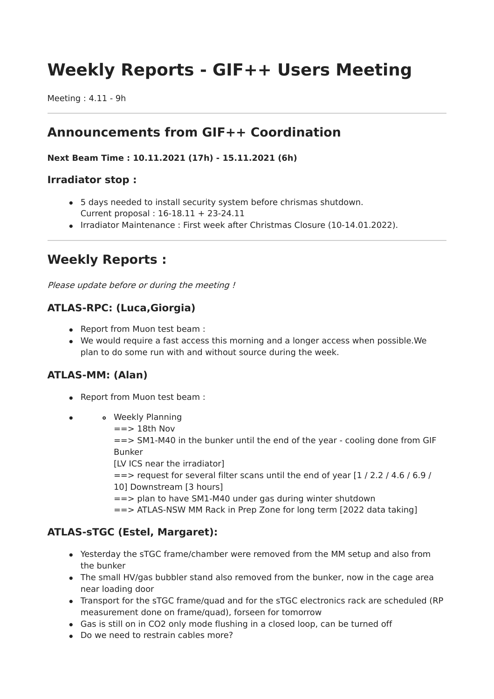# **Weekly Reports - GIF++ Users Meeting**

Meeting : 4.11 - 9h

## **Announcements from GIF++ Coordination**

#### **Next Beam Time : 10.11.2021 (17h) - 15.11.2021 (6h)**

#### **Irradiator stop :**

- 5 days needed to install security system before chrismas shutdown. Current proposal : 16-18.11 + 23-24.11
- Irradiator Maintenance : First week after Christmas Closure (10-14.01.2022).

# **Weekly Reports :**

Please update before or during the meeting !

#### **ATLAS-RPC: (Luca,Giorgia)**

- Report from Muon test beam :
- We would require a fast access this morning and a longer access when possible.We plan to do some run with and without source during the week.

#### **ATLAS-MM: (Alan)**

- Report from Muon test beam :
- Weekly Planning  $\bullet$ 
	- $==$  18th Nov

==> SM1-M40 in the bunker until the end of the year - cooling done from GIF Bunker

[LV ICS near the irradiator]

 $\epsilon$  =  $\epsilon$  request for several filter scans until the end of year [1 / 2.2 / 4.6 / 6.9 / 10] Downstream [3 hours]

==> plan to have SM1-M40 under gas during winter shutdown

==> ATLAS-NSW MM Rack in Prep Zone for long term [2022 data taking]

#### **ATLAS-sTGC (Estel, Margaret):**

- Yesterday the sTGC frame/chamber were removed from the MM setup and also from the bunker
- The small HV/gas bubbler stand also removed from the bunker, now in the cage area near loading door
- Transport for the sTGC frame/quad and for the sTGC electronics rack are scheduled (RP measurement done on frame/quad), forseen for tomorrow
- Gas is still on in CO2 only mode flushing in a closed loop, can be turned off
- Do we need to restrain cables more?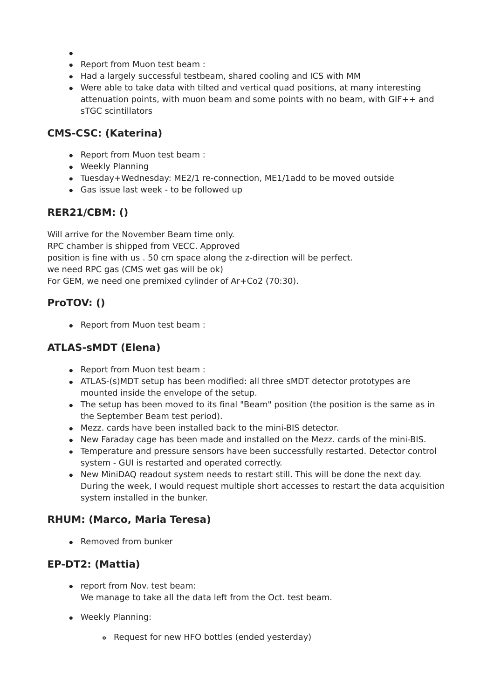- 
- Report from Muon test beam :
- Had a largely successful testbeam, shared cooling and ICS with MM
- Were able to take data with tilted and vertical quad positions, at many interesting attenuation points, with muon beam and some points with no beam, with GIF++ and sTGC scintillators

#### **CMS-CSC: (Katerina)**

- Report from Muon test beam :
- Weekly Planning
- Tuesday+Wednesday: ME2/1 re-connection, ME1/1add to be moved outside
- Gas issue last week to be followed up

#### **RER21/CBM: ()**

Will arrive for the November Beam time only. RPC chamber is shipped from VECC. Approved position is fine with us . 50 cm space along the z-direction will be perfect. we need RPC gas (CMS wet gas will be ok) For GEM, we need one premixed cylinder of Ar+Co2 (70:30).

## **ProTOV: ()**

• Report from Muon test beam :

### **ATLAS-sMDT (Elena)**

- Report from Muon test beam :
- ATLAS-(s)MDT setup has been modified: all three sMDT detector prototypes are mounted inside the envelope of the setup.
- The setup has been moved to its final "Beam" position (the position is the same as in the September Beam test period).
- Mezz. cards have been installed back to the mini-BIS detector.
- New Faraday cage has been made and installed on the Mezz. cards of the mini-BIS.
- Temperature and pressure sensors have been successfully restarted. Detector control system - GUI is restarted and operated correctly.
- New MiniDAQ readout system needs to restart still. This will be done the next day. During the week, I would request multiple short accesses to restart the data acquisition system installed in the bunker.

#### **RHUM: (Marco, Maria Teresa)**

• Removed from bunker

#### **EP-DT2: (Mattia)**

- report from Nov. test beam: We manage to take all the data left from the Oct. test beam.
- Weekly Planning:
	- Request for new HFO bottles (ended yesterday)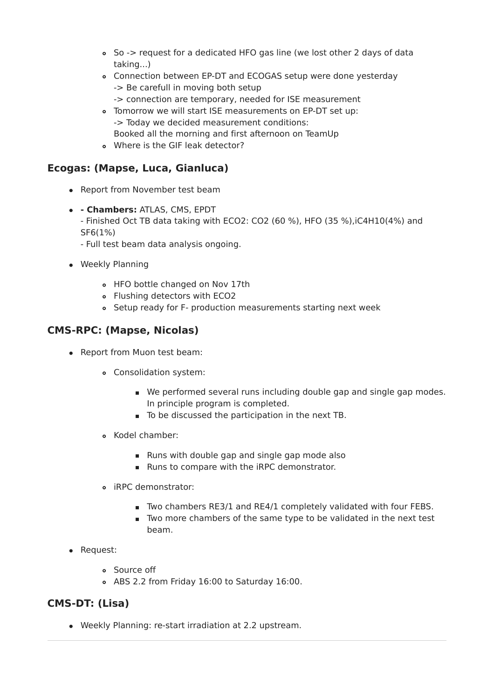- So -> request for a dedicated HFO gas line (we lost other 2 days of data taking...)
- Connection between EP-DT and ECOGAS setup were done yesterday -> Be carefull in moving both setup
	- -> connection are temporary, needed for ISE measurement
- Tomorrow we will start ISE measurements on EP-DT set up: -> Today we decided measurement conditions: Booked all the morning and first afternoon on TeamUp
- Where is the GIF leak detector?

#### **Ecogas: (Mapse, Luca, Gianluca)**

- Report from November test beam
- **- Chambers:** ATLAS, CMS, EPDT
	- Finished Oct TB data taking with ECO2: CO2 (60 %), HFO (35 %),iC4H10(4%) and SF6(1%)
	- Full test beam data analysis ongoing.
- Weekly Planning
	- HFO bottle changed on Nov 17th
	- Flushing detectors with ECO2
	- Setup ready for F- production measurements starting next week

#### **CMS-RPC: (Mapse, Nicolas)**

- Report from Muon test beam:
	- Consolidation system:
		- We performed several runs including double gap and single gap modes. In principle program is completed.
		- To be discussed the participation in the next TB.
	- Kodel chamber:
		- **Runs with double gap and single gap mode also**
		- Runs to compare with the iRPC demonstrator.
	- iRPC demonstrator:
		- Two chambers RE3/1 and RE4/1 completely validated with four FEBS.
		- **T** Two more chambers of the same type to be validated in the next test beam.
- Request:
	- Source off
	- ABS 2.2 from Friday 16:00 to Saturday 16:00.

#### **CMS-DT: (Lisa)**

Weekly Planning: re-start irradiation at 2.2 upstream.